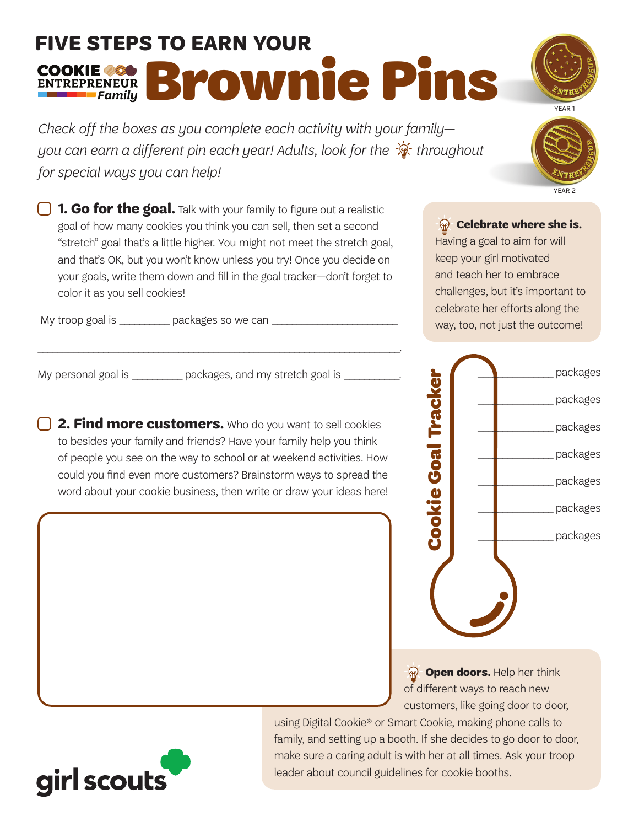## **FIVE STEPS TO EARN YOUR**  COOKIE 280 Brownie Pins

*Check off the boxes as you complete each activity with your family you can earn a different pin each year! Adults, look for the*  $\frac{1}{\mathcal{X}}$  *throughout for special ways you can help!*

**1. Go for the goal.** Talk with your family to figure out a realistic goal of how many cookies you think you can sell, then set a second "stretch" goal that's a little higher. You might not meet the stretch goal, and that's OK, but you won't know unless you try! Once you decide on your goals, write them down and fill in the goal tracker—don't forget to color it as you sell cookies!

My troop goal is \_\_\_\_\_\_\_\_\_\_\_\_\_ packages so we can \_

My personal goal is \_\_\_\_\_\_\_\_\_\_\_\_ packages, and my stretch goal is

**12. Find more customers.** Who do you want to sell cookies to besides your family and friends? Have your family help you think of people you see on the way to school or at weekend activities. How could you find even more customers? Brainstorm ways to spread the word about your cookie business, then write or draw your ideas here!

**Celebrate where she is.** Having a goal to aim for will keep your girl motivated and teach her to embrace challenges, but it's important to celebrate her efforts along the

way, too, not just the outcome!



**P** Open doors. Help her think of different ways to reach new customers, like going door to door,

using Digital Cookie® or Smart Cookie, making phone calls to family, and setting up a booth. If she decides to go door to door, make sure a caring adult is with her at all times. Ask your troop







\_\_\_\_\_\_\_\_\_\_\_\_\_\_\_ packages

\_\_\_\_\_\_\_\_\_\_\_\_\_\_\_ packages

\_\_\_\_\_\_\_\_\_\_\_\_\_\_\_ packages

\_\_\_\_\_\_\_\_\_\_\_\_\_\_\_ packages

\_\_\_\_\_\_\_\_\_\_\_\_\_\_\_ packages

\_\_\_\_\_\_\_\_\_\_\_\_\_\_\_ packages

\_\_\_\_\_\_\_\_\_\_\_\_\_\_\_ packages